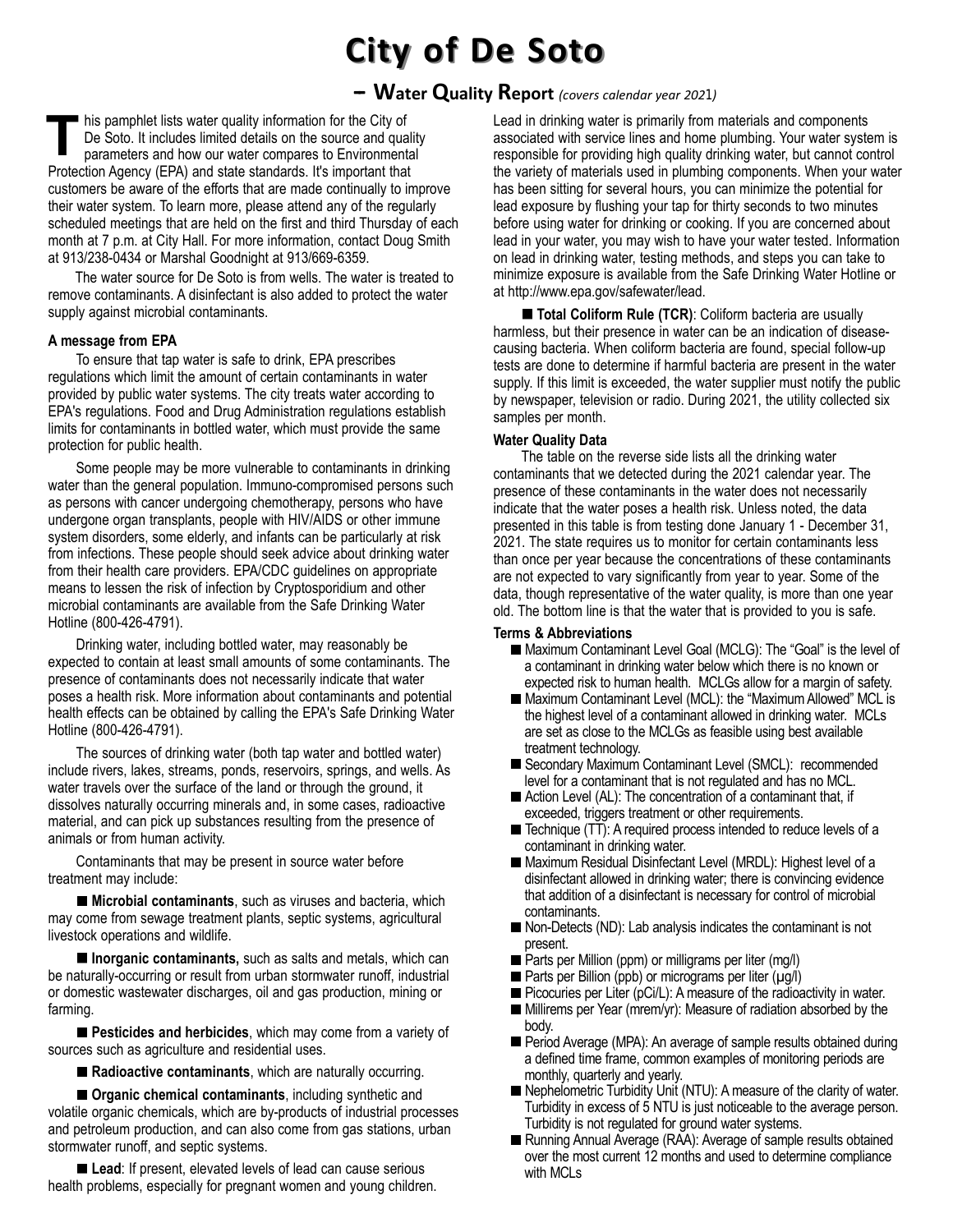# **City of De Soto**

### **-- Water Quality Report** *(covers calendar year 2021)*

his pamphlet lists water quality information for the City of De Soto. It includes limited details on the source and quality parameters and how our water compares to Environmental Protection Agency (EPA) and state standards. It's important that customers be aware of the efforts that are made continually to improve their water system. To learn more, please attend any of the regularly scheduled meetings that are held on the first and third Thursday of each month at 7 p.m. at City Hall. For more information, contact Doug Smith at 913/238-0434 or Marshal Goodnight at 913/669-6359. **T**

The water source for De Soto is from wells. The water is treated to remove contaminants. A disinfectant is also added to protect the water supply against microbial contaminants.

#### **A message from EPA**

To ensure that tap water is safe to drink, EPA prescribes regulations which limit the amount of certain contaminants in water provided by public water systems. The city treats water according to EPA's regulations. Food and Drug Administration regulations establish limits for contaminants in bottled water, which must provide the same protection for public health.

Some people may be more vulnerable to contaminants in drinking water than the general population. Immuno-compromised persons such as persons with cancer undergoing chemotherapy, persons who have undergone organ transplants, people with HIV/AIDS or other immune system disorders, some elderly, and infants can be particularly at risk from infections. These people should seek advice about drinking water from their health care providers. EPA/CDC guidelines on appropriate means to lessen the risk of infection by Cryptosporidium and other microbial contaminants are available from the Safe Drinking Water Hotline (800-426-4791).

Drinking water, including bottled water, may reasonably be expected to contain at least small amounts of some contaminants. The presence of contaminants does not necessarily indicate that water poses a health risk. More information about contaminants and potential health effects can be obtained by calling the EPA's Safe Drinking Water Hotline (800-426-4791).

The sources of drinking water (both tap water and bottled water) include rivers, lakes, streams, ponds, reservoirs, springs, and wells. As water travels over the surface of the land or through the ground, it dissolves naturally occurring minerals and, in some cases, radioactive material, and can pick up substances resulting from the presence of animals or from human activity.

Contaminants that may be present in source water before treatment may include:

**Microbial contaminants**, such as viruses and bacteria, which may come from sewage treatment plants, septic systems, agricultural livestock operations and wildlife.

**Inorganic contaminants,** such as salts and metals, which can be naturally-occurring or result from urban stormwater runoff, industrial or domestic wastewater discharges, oil and gas production, mining or farming.

**Pesticides and herbicides**, which may come from a variety of sources such as agriculture and residential uses.

■ Radioactive contaminants, which are naturally occurring.

**Organic chemical contaminants**, including synthetic and volatile organic chemicals, which are by-products of industrial processes and petroleum production, and can also come from gas stations, urban stormwater runoff, and septic systems.

**Lead:** If present, elevated levels of lead can cause serious health problems, especially for pregnant women and young children. Lead in drinking water is primarily from materials and components associated with service lines and home plumbing. Your water system is responsible for providing high quality drinking water, but cannot control the variety of materials used in plumbing components. When your water has been sitting for several hours, you can minimize the potential for lead exposure by flushing your tap for thirty seconds to two minutes before using water for drinking or cooking. If you are concerned about lead in your water, you may wish to have your water tested. Information on lead in drinking water, testing methods, and steps you can take to minimize exposure is available from the Safe Drinking Water Hotline or at http://www.epa.gov/safewater/lead.

**Total Coliform Rule (TCR)**: Coliform bacteria are usually harmless, but their presence in water can be an indication of diseasecausing bacteria. When coliform bacteria are found, special follow-up tests are done to determine if harmful bacteria are present in the water supply. If this limit is exceeded, the water supplier must notify the public by newspaper, television or radio. During 2021, the utility collected six samples per month.

#### **Water Quality Data**

The table on the reverse side lists all the drinking water contaminants that we detected during the 2021 calendar year. The presence of these contaminants in the water does not necessarily indicate that the water poses a health risk. Unless noted, the data presented in this table is from testing done January 1 - December 31, 2021. The state requires us to monitor for certain contaminants less than once per year because the concentrations of these contaminants are not expected to vary significantly from year to year. Some of the data, though representative of the water quality, is more than one year old. The bottom line is that the water that is provided to you is safe.

#### **Terms & Abbreviations**

- Maximum Contaminant Level Goal (MCLG): The "Goal" is the level of a contaminant in drinking water below which there is no known or expected risk to human health. MCLGs allow for a margin of safety.
- Maximum Contaminant Level (MCL): the "Maximum Allowed" MCL is the highest level of a contaminant allowed in drinking water. MCLs are set as close to the MCLGs as feasible using best available treatment technology.
- Secondary Maximum Contaminant Level (SMCL): recommended level for a contaminant that is not regulated and has no MCL.
- Action Level (AL): The concentration of a contaminant that, if exceeded, triggers treatment or other requirements.
- Technique (TT): A required process intended to reduce levels of a contaminant in drinking water.
- Maximum Residual Disinfectant Level (MRDL): Highest level of a disinfectant allowed in drinking water; there is convincing evidence that addition of a disinfectant is necessary for control of microbial contaminants.
- Non-Detects (ND): Lab analysis indicates the contaminant is not present.
- Parts per Million (ppm) or milligrams per liter (mg/l)
- $\blacksquare$  Parts per Billion (ppb) or micrograms per liter ( $\mu$ g/l)
- $\blacksquare$  Picocuries per Liter (pCi/L): A measure of the radioactivity in water.
- Millirems per Year (mrem/yr): Measure of radiation absorbed by the body.
- **Period Average (MPA): An average of sample results obtained during** a defined time frame, common examples of monitoring periods are monthly, quarterly and yearly.
- Nephelometric Turbidity Unit (NTU): A measure of the clarity of water. Turbidity in excess of 5 NTU is just noticeable to the average person. Turbidity is not regulated for ground water systems.
- Running Annual Average (RAA): Average of sample results obtained over the most current 12 months and used to determine compliance with MCLs